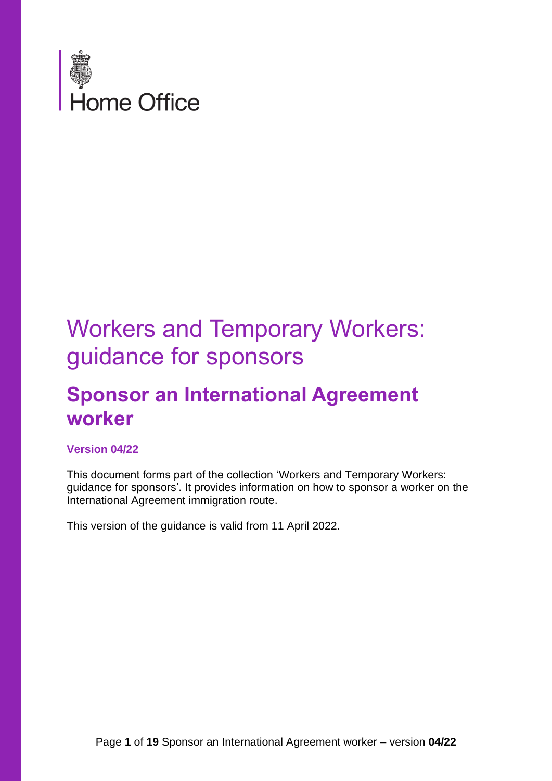

## Workers and Temporary Workers: guidance for sponsors

## **Sponsor an International Agreement worker**

#### **Version 04/22**

This document forms part of the collection 'Workers and Temporary Workers: guidance for sponsors'. It provides information on how to sponsor a worker on the International Agreement immigration route.

This version of the guidance is valid from 11 April 2022.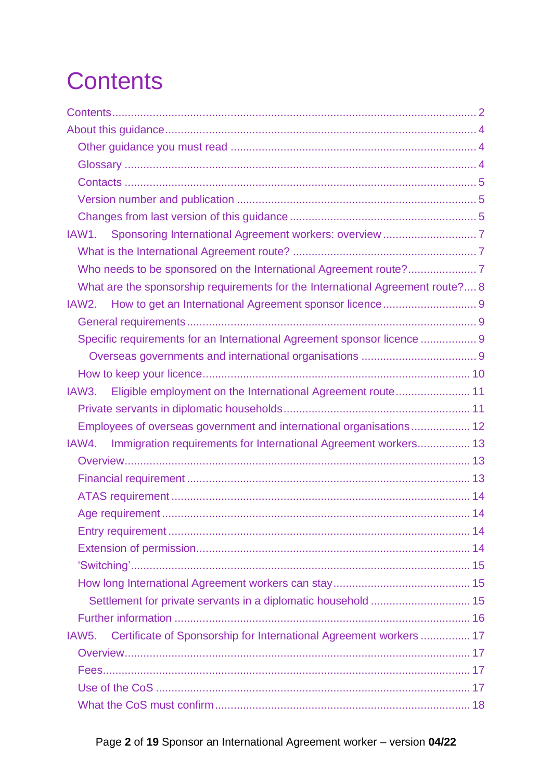<span id="page-1-0"></span>

| What are the sponsorship requirements for the International Agreement route? 8           |  |
|------------------------------------------------------------------------------------------|--|
| IAW2.                                                                                    |  |
|                                                                                          |  |
| Specific requirements for an International Agreement sponsor licence  9                  |  |
|                                                                                          |  |
|                                                                                          |  |
| IAW3. Eligible employment on the International Agreement route 11                        |  |
|                                                                                          |  |
| Employees of overseas government and international organisations 12                      |  |
| IAW4. Immigration requirements for International Agreement workers 13                    |  |
|                                                                                          |  |
|                                                                                          |  |
|                                                                                          |  |
|                                                                                          |  |
|                                                                                          |  |
|                                                                                          |  |
|                                                                                          |  |
|                                                                                          |  |
| Settlement for private servants in a diplomatic household  15                            |  |
|                                                                                          |  |
| Certificate of Sponsorship for International Agreement workers  17<br>IAW <sub>5</sub> . |  |
|                                                                                          |  |
|                                                                                          |  |
|                                                                                          |  |
|                                                                                          |  |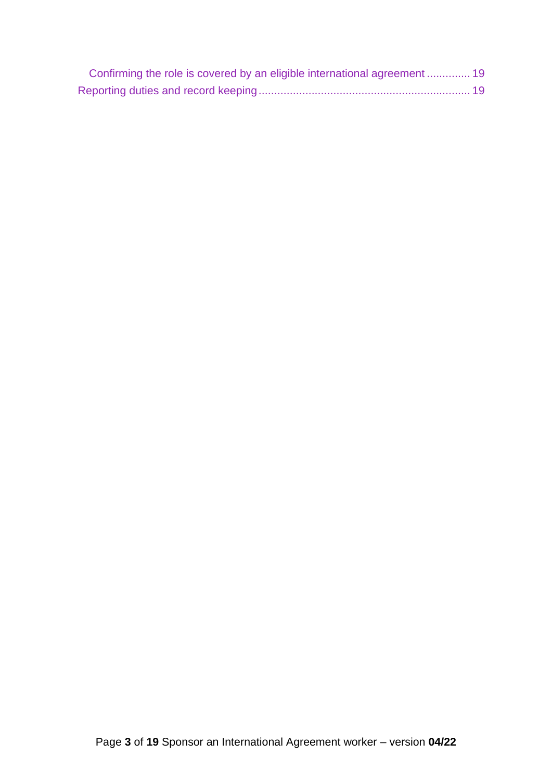| Confirming the role is covered by an eligible international agreement  19 |  |
|---------------------------------------------------------------------------|--|
|                                                                           |  |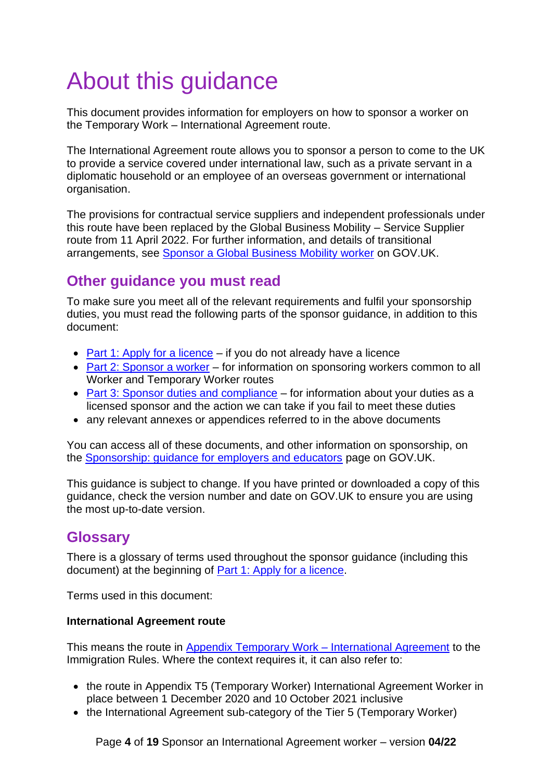# <span id="page-3-0"></span>About this guidance

This document provides information for employers on how to sponsor a worker on the Temporary Work – International Agreement route.

The International Agreement route allows you to sponsor a person to come to the UK to provide a service covered under international law, such as a private servant in a diplomatic household or an employee of an overseas government or international organisation.

The provisions for contractual service suppliers and independent professionals under this route have been replaced by the Global Business Mobility – Service Supplier route from 11 April 2022. For further information, and details of transitional arrangements, see [Sponsor a Global Business Mobility worker](https://www.gov.uk/government/publications/workers-and-temporary-workers-sponsor-an-intra-company-worker) on GOV.UK.

## <span id="page-3-1"></span>**Other guidance you must read**

To make sure you meet all of the relevant requirements and fulfil your sponsorship duties, you must read the following parts of the sponsor guidance, in addition to this document:

- [Part 1: Apply for a licence](https://www.gov.uk/government/publications/workers-and-temporary-workers-guidance-for-sponsors-part-1-apply-for-a-licence) if you do not already have a licence
- [Part 2: Sponsor a worker](https://www.gov.uk/government/publications/workers-and-temporary-workers-guidance-for-sponsors-part-2-sponsor-a-worker) for information on sponsoring workers common to all Worker and Temporary Worker routes
- [Part 3: Sponsor duties and compliance](https://www.gov.uk/government/publications/workers-and-temporary-workers-guidance-for-sponsors-part-3-sponsor-duties-and-compliance) for information about your duties as a licensed sponsor and the action we can take if you fail to meet these duties
- any relevant annexes or appendices referred to in the above documents

You can access all of these documents, and other information on sponsorship, on the [Sponsorship: guidance for employers and educators](https://www.gov.uk/government/collections/sponsorship-information-for-employers-and-educators) page on GOV.UK.

This guidance is subject to change. If you have printed or downloaded a copy of this guidance, check the version number and date on GOV.UK to ensure you are using the most up-to-date version.

#### <span id="page-3-2"></span>**Glossary**

There is a glossary of terms used throughout the sponsor guidance (including this document) at the beginning of [Part 1: Apply for a licence.](https://www.gov.uk/government/publications/workers-and-temporary-workers-guidance-for-sponsors-part-1-apply-for-a-licence)

Terms used in this document:

#### **International Agreement route**

This means the route in [Appendix Temporary Work –](https://www.gov.uk/guidance/immigration-rules/immigration-rules-appendix-t5-temporary-worker-international-agreement-worker) International Agreement to the Immigration Rules. Where the context requires it, it can also refer to:

- the route in Appendix T5 (Temporary Worker) International Agreement Worker in place between 1 December 2020 and 10 October 2021 inclusive
- the International Agreement sub-category of the Tier 5 (Temporary Worker)

Page **4** of **19** Sponsor an International Agreement worker – version **04/22**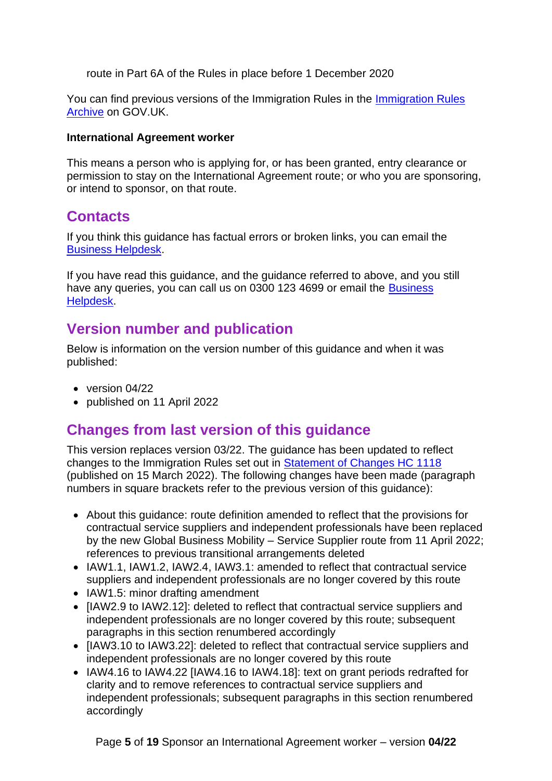route in Part 6A of the Rules in place before 1 December 2020

You can find previous versions of the Immigration Rules in the [Immigration Rules](https://www.gov.uk/government/collections/archive-immigration-rules)  [Archive](https://www.gov.uk/government/collections/archive-immigration-rules) on GOV.UK.

#### **International Agreement worker**

This means a person who is applying for, or has been granted, entry clearance or permission to stay on the International Agreement route; or who you are sponsoring, or intend to sponsor, on that route.

### <span id="page-4-0"></span>**Contacts**

If you think this guidance has factual errors or broken links, you can email the [Business Helpdesk.](mailto:BusinessHelpdesk@homeoffice.gov.uk)

If you have read this guidance, and the guidance referred to above, and you still have any queries, you can call us on 0300 123 4699 or email the Business [Helpdesk.](mailto:BusinessHelpdesk@homeoffice.gov.uk)

#### <span id="page-4-1"></span>**Version number and publication**

Below is information on the version number of this guidance and when it was published:

- version 04/22
- published on 11 April 2022

### <span id="page-4-2"></span>**Changes from last version of this guidance**

This version replaces version 03/22. The guidance has been updated to reflect changes to the Immigration Rules set out in [Statement of Changes HC 1118](https://www.gov.uk/government/collections/immigration-rules-statement-of-changes#statement-of-changes-to-the-immigration-rules:-2022) (published on 15 March 2022). The following changes have been made (paragraph numbers in square brackets refer to the previous version of this guidance):

- About this guidance: route definition amended to reflect that the provisions for contractual service suppliers and independent professionals have been replaced by the new Global Business Mobility – Service Supplier route from 11 April 2022; references to previous transitional arrangements deleted
- IAW1.1, IAW1.2, IAW2.4, IAW3.1: amended to reflect that contractual service suppliers and independent professionals are no longer covered by this route
- IAW1.5: minor drafting amendment
- [IAW2.9 to IAW2.12]: deleted to reflect that contractual service suppliers and independent professionals are no longer covered by this route; subsequent paragraphs in this section renumbered accordingly
- [IAW3.10 to IAW3.22]: deleted to reflect that contractual service suppliers and independent professionals are no longer covered by this route
- IAW4.16 to IAW4.22 [IAW4.16 to IAW4.18]: text on grant periods redrafted for clarity and to remove references to contractual service suppliers and independent professionals; subsequent paragraphs in this section renumbered accordingly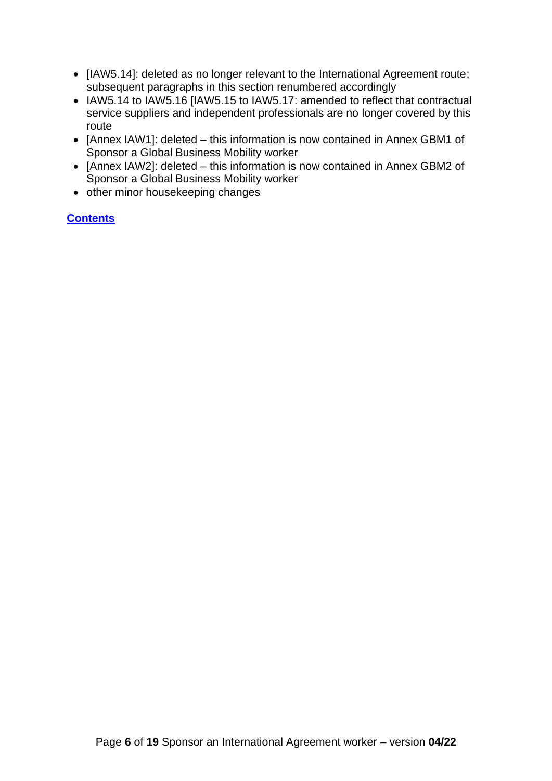- [IAW5.14]: deleted as no longer relevant to the International Agreement route; subsequent paragraphs in this section renumbered accordingly
- IAW5.14 to IAW5.16 [IAW5.15 to IAW5.17: amended to reflect that contractual service suppliers and independent professionals are no longer covered by this route
- [Annex IAW1]: deleted this information is now contained in Annex GBM1 of Sponsor a Global Business Mobility worker
- [Annex IAW2]: deleted this information is now contained in Annex GBM2 of Sponsor a Global Business Mobility worker
- other minor housekeeping changes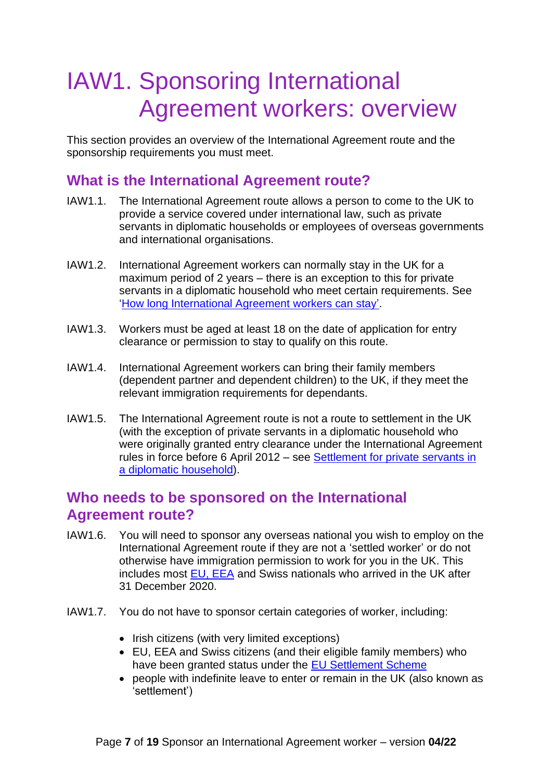## <span id="page-6-0"></span>IAW1. Sponsoring International Agreement workers: overview

This section provides an overview of the International Agreement route and the sponsorship requirements you must meet.

#### <span id="page-6-1"></span>**What is the International Agreement route?**

- IAW1.1. The International Agreement route allows a person to come to the UK to provide a service covered under international law, such as private servants in diplomatic households or employees of overseas governments and international organisations.
- IAW1.2. International Agreement workers can normally stay in the UK for a maximum period of 2 years – there is an exception to this for private servants in a diplomatic household who meet certain requirements. See ['How long International Agreement workers can stay'](#page-14-1).
- IAW1.3. Workers must be aged at least 18 on the date of application for entry clearance or permission to stay to qualify on this route.
- IAW1.4. International Agreement workers can bring their family members (dependent partner and dependent children) to the UK, if they meet the relevant immigration requirements for dependants.
- IAW1.5. The International Agreement route is not a route to settlement in the UK (with the exception of private servants in a diplomatic household who were originally granted entry clearance under the International Agreement rules in force before 6 April 2012 – see [Settlement for private servants in](#page-14-2)  [a diplomatic household\)](#page-14-2).

#### <span id="page-6-2"></span>**Who needs to be sponsored on the International Agreement route?**

- IAW1.6. You will need to sponsor any overseas national you wish to employ on the International Agreement route if they are not a 'settled worker' or do not otherwise have immigration permission to work for you in the UK. This includes most [EU, EEA](https://www.gov.uk/eu-eea) and Swiss nationals who arrived in the UK after 31 December 2020.
- IAW1.7. You do not have to sponsor certain categories of worker, including:
	- Irish citizens (with very limited exceptions)
	- EU, EEA and Swiss citizens (and their eligible family members) who have been granted status under the [EU Settlement Scheme](https://www.gov.uk/settled-status-eu-citizens-families)
	- people with indefinite leave to enter or remain in the UK (also known as 'settlement')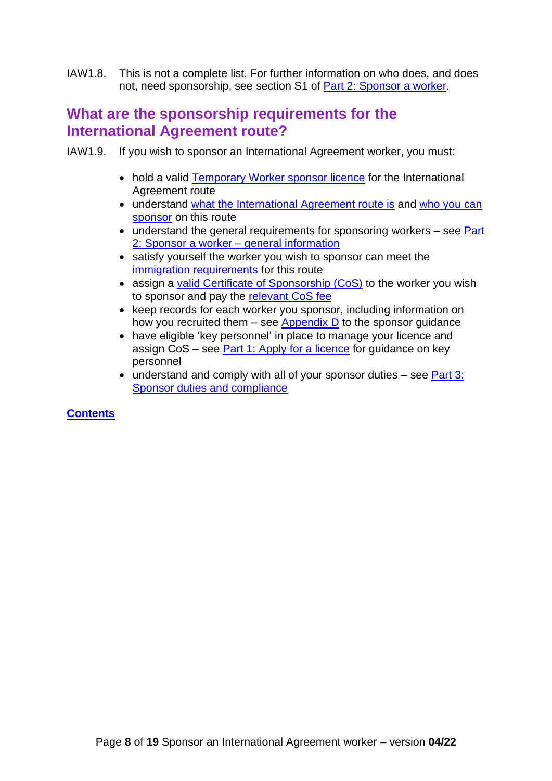IAW1.8. This is not a complete list. For further information on who does, and does not, need sponsorship, see section S1 of [Part 2: Sponsor a worker.](https://www.gov.uk/government/publications/workers-and-temporary-workers-guidance-for-sponsors-part-2-sponsor-a-worker/workers-and-temporary-workers-guidance-for-sponsors-part-2-sponsor-a-worker-general-information-accessible-version#who-needs)

### <span id="page-7-0"></span>**What are the sponsorship requirements for the International Agreement route?**

IAW1.9. If you wish to sponsor an International Agreement worker, you must:

- hold a valid [Temporary Worker](#page-8-4) sponsor licence for the International Agreement route
- understand [what the International Agreement route is](#page-6-1) and who you can [sponsor](#page-10-0) on this route
- understand the general requirements for sponsoring workers see Part 2: Sponsor a worker - general information
- satisfy yourself the worker you wish to sponsor can meet the [immigration requirements](#page-12-3) for this route
- assign a [valid Certificate of Sponsorship \(CoS\)](#page-16-4) to the worker you wish to sponsor and pay the [relevant CoS fee](https://www.gov.uk/government/publications/visa-regulations-revised-table)
- keep records for each worker you sponsor, including information on how you recruited them  $-$  see Appendix  $D$  to the sponsor guidance
- have eligible 'key personnel' in place to manage your licence and assign CoS – see [Part 1: Apply for a licence](https://www.gov.uk/government/publications/workers-and-temporary-workers-guidance-for-sponsors-part-1-apply-for-a-licence/workers-and-temporary-workers-guidance-for-sponsors-part-1-apply-for-a-licence-accessible-version#L4) for guidance on key personnel
- $\bullet$  understand and comply with all of your sponsor duties see [Part](https://www.gov.uk/government/publications/workers-and-temporary-workers-guidance-for-sponsors-part-3-sponsor-duties-and-compliance) 3: [Sponsor duties and compliance](https://www.gov.uk/government/publications/workers-and-temporary-workers-guidance-for-sponsors-part-3-sponsor-duties-and-compliance)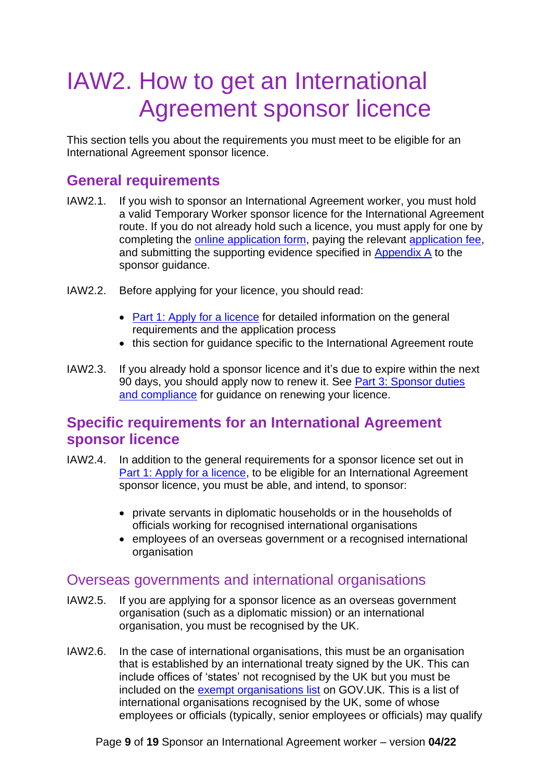## <span id="page-8-4"></span><span id="page-8-0"></span>IAW2. How to get an International Agreement sponsor licence

This section tells you about the requirements you must meet to be eligible for an International Agreement sponsor licence.

#### <span id="page-8-1"></span>**General requirements**

- IAW2.1. If you wish to sponsor an International Agreement worker, you must hold a valid Temporary Worker sponsor licence for the International Agreement route. If you do not already hold such a licence, you must apply for one by completing the [online application form,](https://www.points.homeoffice.gov.uk/gui-sponsor-jsf/Register/SponsorRegister.faces) paying the relevant [application fee,](https://www.gov.uk/government/publications/visa-regulations-revised-table) and submitting the supporting evidence specified in [Appendix A](https://www.gov.uk/government/publications/supporting-documents-for-sponsor-applications-appendix-a) to the sponsor guidance.
- IAW2.2. Before applying for your licence, you should read:
	- [Part 1: Apply for a licence](https://www.gov.uk/government/publications/workers-and-temporary-workers-guidance-for-sponsors-part-1-apply-for-a-licence) for detailed information on the general requirements and the application process
	- this section for quidance specific to the International Agreement route
- IAW2.3. If you already hold a sponsor licence and it's due to expire within the next 90 days, you should apply now to renew it. See [Part 3: Sponsor duties](https://www.gov.uk/government/publications/workers-and-temporary-workers-guidance-for-sponsors-part-3-sponsor-duties-and-compliance/workers-and-temporary-workers-guidance-for-sponsors-part-3-sponsor-duties-and-compliance-accessible-version)  [and compliance](https://www.gov.uk/government/publications/workers-and-temporary-workers-guidance-for-sponsors-part-3-sponsor-duties-and-compliance/workers-and-temporary-workers-guidance-for-sponsors-part-3-sponsor-duties-and-compliance-accessible-version) for guidance on renewing your licence.

#### <span id="page-8-2"></span>**Specific requirements for an International Agreement sponsor licence**

- IAW2.4. In addition to the general requirements for a sponsor licence set out in [Part 1: Apply for a licence,](https://www.gov.uk/government/publications/workers-and-temporary-workers-guidance-for-sponsors-part-1-apply-for-a-licence) to be eligible for an International Agreement sponsor licence, you must be able, and intend, to sponsor:
	- private servants in diplomatic households or in the households of officials working for recognised international organisations
	- employees of an overseas government or a recognised international organisation

#### <span id="page-8-3"></span>Overseas governments and international organisations

- IAW2.5. If you are applying for a sponsor licence as an overseas government organisation (such as a diplomatic mission) or an international organisation, you must be recognised by the UK.
- IAW2.6. In the case of international organisations, this must be an organisation that is established by an international treaty signed by the UK. This can include offices of 'states' not recognised by the UK but you must be included on the [exempt organisations list](https://www.gov.uk/government/publications/list-of-international-organisations-whose-employees-do-not-need-entry-clearance) on GOV.UK. This is a list of international organisations recognised by the UK, some of whose employees or officials (typically, senior employees or officials) may qualify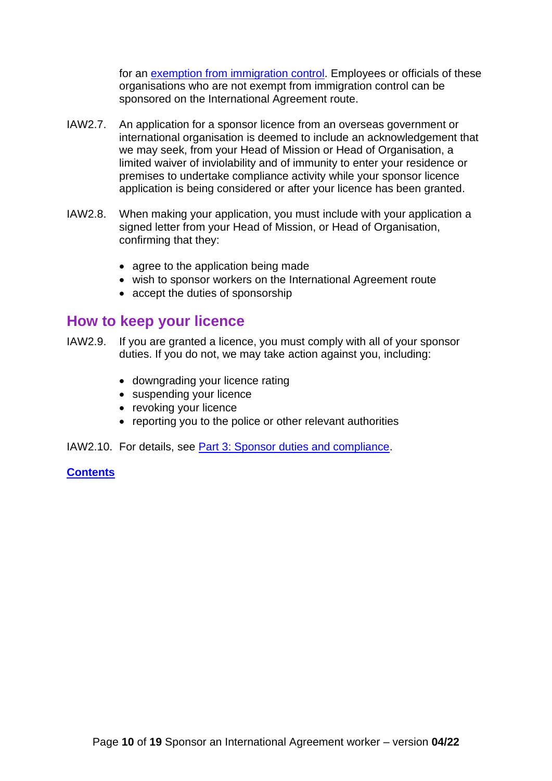for an [exemption from immigration control.](https://www.gov.uk/exempt-vignette) Employees or officials of these organisations who are not exempt from immigration control can be sponsored on the International Agreement route.

- IAW2.7. An application for a sponsor licence from an overseas government or international organisation is deemed to include an acknowledgement that we may seek, from your Head of Mission or Head of Organisation, a limited waiver of inviolability and of immunity to enter your residence or premises to undertake compliance activity while your sponsor licence application is being considered or after your licence has been granted.
- IAW2.8. When making your application, you must include with your application a signed letter from your Head of Mission, or Head of Organisation, confirming that they:
	- agree to the application being made
	- wish to sponsor workers on the International Agreement route
	- accept the duties of sponsorship

#### <span id="page-9-0"></span>**How to keep your licence**

- IAW2.9. If you are granted a licence, you must comply with all of your sponsor duties. If you do not, we may take action against you, including:
	- downgrading your licence rating
	- suspending your licence
	- revoking your licence
	- reporting you to the police or other relevant authorities

IAW2.10. For details, see [Part 3: Sponsor duties and compliance.](https://www.gov.uk/government/publications/workers-and-temporary-workers-guidance-for-sponsors-part-3-sponsor-duties-and-compliance)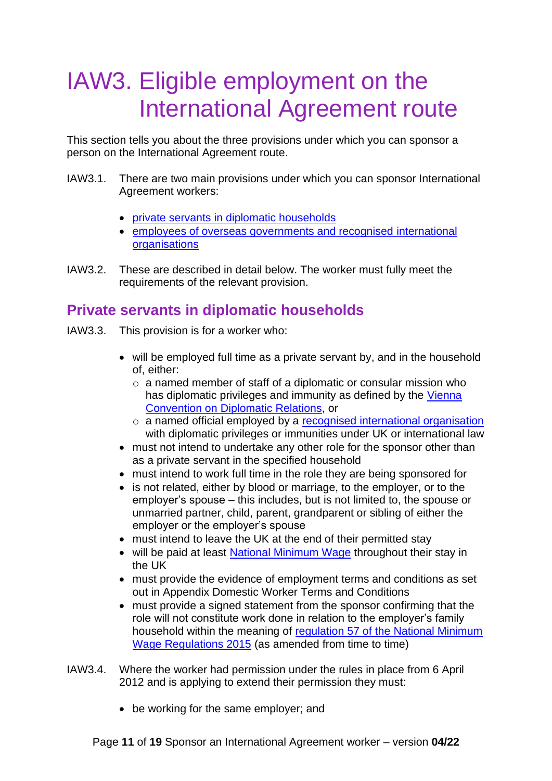## <span id="page-10-0"></span>IAW3. Eligible employment on the International Agreement route

This section tells you about the three provisions under which you can sponsor a person on the International Agreement route.

- IAW3.1. There are two main provisions under which you can sponsor International Agreement workers:
	- [private servants in diplomatic households](#page-10-1)
	- [employees of overseas governments and recognised international](#page-11-0)  **[organisations](#page-11-0)**
- IAW3.2. These are described in detail below. The worker must fully meet the requirements of the relevant provision.

### <span id="page-10-1"></span>**Private servants in diplomatic households**

- IAW3.3. This provision is for a worker who:
	- will be employed full time as a private servant by, and in the household of, either:
		- o a named member of staff of a diplomatic or consular mission who has diplomatic privileges and immunity as defined by the Vienna [Convention on Diplomatic Relations,](https://legal.un.org/ilc/texts/instruments/english/conventions/9_1_1961.pdf) or
		- o a named official employed by a [recognised international organisation](#page-8-3) with diplomatic privileges or immunities under UK or international law
	- must not intend to undertake any other role for the sponsor other than as a private servant in the specified household
	- must intend to work full time in the role they are being sponsored for
	- is not related, either by blood or marriage, to the employer, or to the employer's spouse – this includes, but is not limited to, the spouse or unmarried partner, child, parent, grandparent or sibling of either the employer or the employer's spouse
	- must intend to leave the UK at the end of their permitted stay
	- will be paid at least [National Minimum Wage](https://www.gov.uk/minimum-wage-different-types-work) throughout their stay in the UK
	- must provide the evidence of employment terms and conditions as set out in Appendix Domestic Worker Terms and Conditions
	- must provide a signed statement from the sponsor confirming that the role will not constitute work done in relation to the employer's family household within the meaning of [regulation 57 of the National Minimum](http://www.legislation.gov.uk/uksi/2015/621/regulation/57/made)  [Wage Regulations 2015](http://www.legislation.gov.uk/uksi/2015/621/regulation/57/made) (as amended from time to time)
- IAW3.4. Where the worker had permission under the rules in place from 6 April 2012 and is applying to extend their permission they must:
	- be working for the same employer; and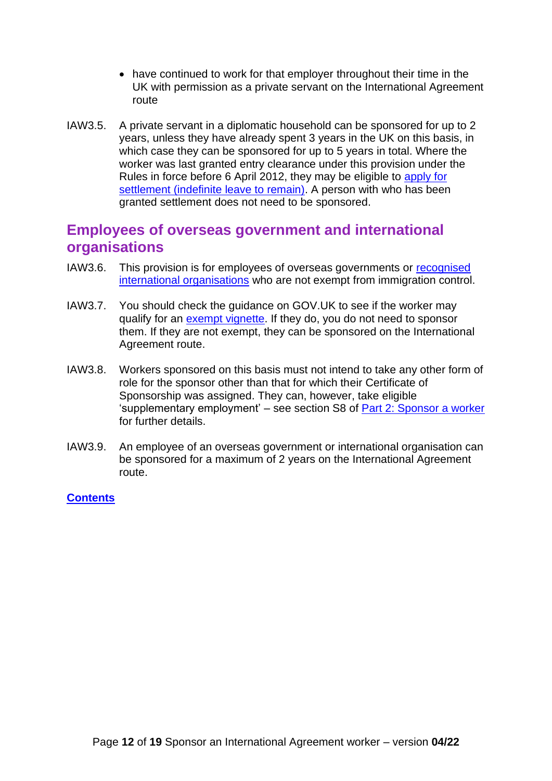- have continued to work for that employer throughout their time in the UK with permission as a private servant on the International Agreement route
- IAW3.5. A private servant in a diplomatic household can be sponsored for up to 2 years, unless they have already spent 3 years in the UK on this basis, in which case they can be sponsored for up to 5 years in total. Where the worker was last granted entry clearance under this provision under the Rules in force before 6 April 2012, they may be eligible to [apply for](https://www.gov.uk/settle-in-the-uk/y/you-have-a-work-visa/tier-5-international-agreement-visa)  [settlement \(indefinite leave to remain\).](https://www.gov.uk/settle-in-the-uk/y/you-have-a-work-visa/tier-5-international-agreement-visa) A person with who has been granted settlement does not need to be sponsored.

#### <span id="page-11-0"></span>**Employees of overseas government and international organisations**

- IAW3.6. This provision is for employees of overseas governments or [recognised](#page-8-3)  [international organisations](#page-8-3) who are not exempt from immigration control.
- IAW3.7. You should check the guidance on GOV.UK to see if the worker may qualify for an [exempt vignette.](https://www.gov.uk/exempt-vignette) If they do, you do not need to sponsor them. If they are not exempt, they can be sponsored on the International Agreement route.
- IAW3.8. Workers sponsored on this basis must not intend to take any other form of role for the sponsor other than that for which their Certificate of Sponsorship was assigned. They can, however, take eligible 'supplementary employment' – see section S8 of [Part 2: Sponsor a worker](https://www.gov.uk/government/publications/workers-and-temporary-workers-guidance-for-sponsors-part-2-sponsor-a-worker/workers-and-temporary-workers-guidance-for-sponsors-part-2-sponsor-a-worker-general-information-accessible-version) for further details.
- IAW3.9. An employee of an overseas government or international organisation can be sponsored for a maximum of 2 years on the International Agreement route.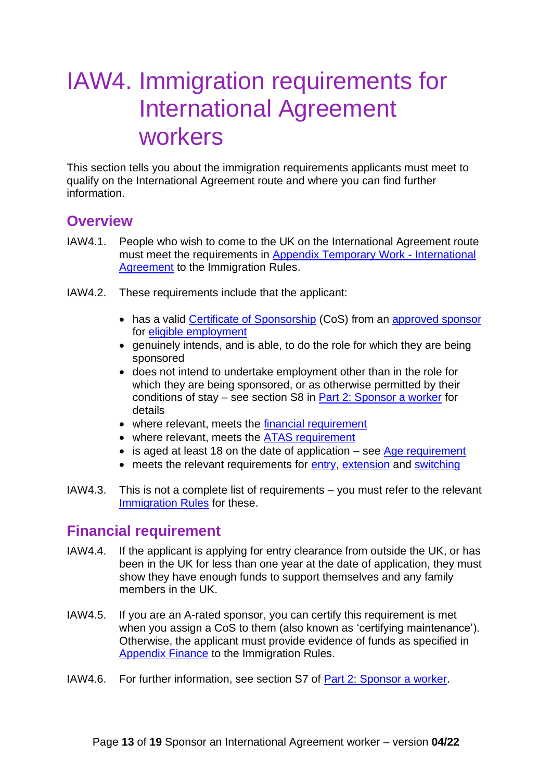## <span id="page-12-3"></span><span id="page-12-0"></span>IAW4. Immigration requirements for International Agreement workers

This section tells you about the immigration requirements applicants must meet to qualify on the International Agreement route and where you can find further information.

#### <span id="page-12-1"></span>**Overview**

- IAW4.1. People who wish to come to the UK on the International Agreement route must meet the requirements in [Appendix Temporary Work -](https://www.gov.uk/guidance/immigration-rules/immigration-rules-appendix-t5-temporary-worker-international-agreement-worker) International [Agreement](https://www.gov.uk/guidance/immigration-rules/immigration-rules-appendix-t5-temporary-worker-international-agreement-worker) to the Immigration Rules.
- IAW4.2. These requirements include that the applicant:
	- has a valid [Certificate of Sponsorship](#page-16-4) (CoS) from an [approved sponsor](#page-8-4) for [eligible employment](#page-10-0)
	- genuinely intends, and is able, to do the role for which they are being sponsored
	- does not intend to undertake employment other than in the role for which they are being sponsored, or as otherwise permitted by their conditions of stay – see section S8 in [Part 2: Sponsor a worker](https://www.gov.uk/government/publications/workers-and-temporary-workers-guidance-for-sponsors-part-2-sponsor-a-worker/workers-and-temporary-workers-guidance-for-sponsors-part-2-sponsor-a-worker-general-information-accessible-version) for details
	- where relevant, meets the [financial requirement](#page-12-2)
	- where relevant, meets the [ATAS requirement](#page-13-0)
	- is aged at least 18 on the date of application see [Age requirement](#page-13-1)
	- meets the relevant requirements for [entry,](#page-13-2) [extension](#page-13-3) and [switching](#page-14-0)
- IAW4.3. This is not a complete list of requirements you must refer to the relevant [Immigration Rules](https://www.gov.uk/guidance/immigration-rules/immigration-rules-appendix-t5-temporary-worker-international-agreement-worker) for these.

### <span id="page-12-2"></span>**Financial requirement**

- IAW4.4. If the applicant is applying for entry clearance from outside the UK, or has been in the UK for less than one year at the date of application, they must show they have enough funds to support themselves and any family members in the UK.
- IAW4.5. If you are an A-rated sponsor, you can certify this requirement is met when you assign a CoS to them (also known as 'certifying maintenance'). Otherwise, the applicant must provide evidence of funds as specified in [Appendix Finance](https://www.gov.uk/guidance/immigration-rules/immigration-rules-appendix-finance) to the Immigration Rules.
- IAW4.6. For further information, see section S7 of [Part 2: Sponsor a worker.](https://www.gov.uk/government/publications/workers-and-temporary-workers-guidance-for-sponsors-part-2-sponsor-a-worker)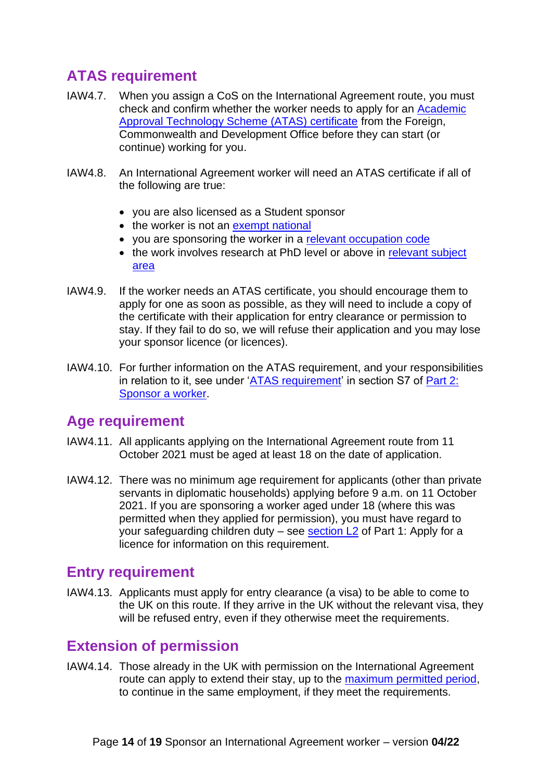## <span id="page-13-0"></span>**ATAS requirement**

- IAW4.7. When you assign a CoS on the International Agreement route, you must check and confirm whether the worker needs to apply for an [Academic](https://www.gov.uk/guidance/academic-technology-approval-scheme)  [Approval Technology Scheme \(ATAS\) certificate](https://www.gov.uk/guidance/academic-technology-approval-scheme) from the Foreign, Commonwealth and Development Office before they can start (or continue) working for you.
- IAW4.8. An International Agreement worker will need an ATAS certificate if all of the following are true:
	- you are also licensed as a Student sponsor
	- the worker is not an [exempt national](https://www.gov.uk/government/publications/workers-and-temporary-workers-guidance-for-sponsors-part-2-sponsor-a-worker/workers-and-temporary-workers-guidance-for-sponsors-part-2-sponsor-a-worker-general-information-accessible-version#Exempt-nationalities)
	- you are sponsoring the worker in a [relevant occupation code](https://www.gov.uk/government/publications/workers-and-temporary-workers-guidance-for-sponsors-part-2-sponsor-a-worker/workers-and-temporary-workers-guidance-for-sponsors-part-2-sponsor-a-worker-general-information-accessible-version#Occupation-codes)
	- the work involves research at PhD level or above in relevant subject [area](https://www.gov.uk/government/publications/workers-and-temporary-workers-guidance-for-sponsors-part-2-sponsor-a-worker/workers-and-temporary-workers-guidance-for-sponsors-part-2-sponsor-a-worker-general-information-accessible-version#Subject-areas)
- IAW4.9. If the worker needs an ATAS certificate, you should encourage them to apply for one as soon as possible, as they will need to include a copy of the certificate with their application for entry clearance or permission to stay. If they fail to do so, we will refuse their application and you may lose your sponsor licence (or licences).
- IAW4.10. For further information on the ATAS requirement, and your responsibilities in relation to it, see under ['ATAS requirement'](https://www.gov.uk/government/publications/workers-and-temporary-workers-guidance-for-sponsors-part-2-sponsor-a-worker/workers-and-temporary-workers-guidance-for-sponsors-part-2-sponsor-a-worker-general-information-accessible-version#ATAS-requirement) in section S7 of Part 2: [Sponsor a worker.](https://www.gov.uk/government/publications/workers-and-temporary-workers-guidance-for-sponsors-part-2-sponsor-a-worker)

### <span id="page-13-1"></span>**Age requirement**

- IAW4.11. All applicants applying on the International Agreement route from 11 October 2021 must be aged at least 18 on the date of application.
- IAW4.12. There was no minimum age requirement for applicants (other than private servants in diplomatic households) applying before 9 a.m. on 11 October 2021. If you are sponsoring a worker aged under 18 (where this was permitted when they applied for permission), you must have regard to your safeguarding children duty – see section  $L2$  of Part 1: Apply for a licence for information on this requirement.

### <span id="page-13-2"></span>**Entry requirement**

IAW4.13. Applicants must apply for entry clearance (a visa) to be able to come to the UK on this route. If they arrive in the UK without the relevant visa, they will be refused entry, even if they otherwise meet the requirements.

### <span id="page-13-3"></span>**Extension of permission**

IAW4.14. Those already in the UK with permission on the International Agreement route can apply to extend their stay, up to the [maximum permitted period,](#page-14-1) to continue in the same employment, if they meet the requirements.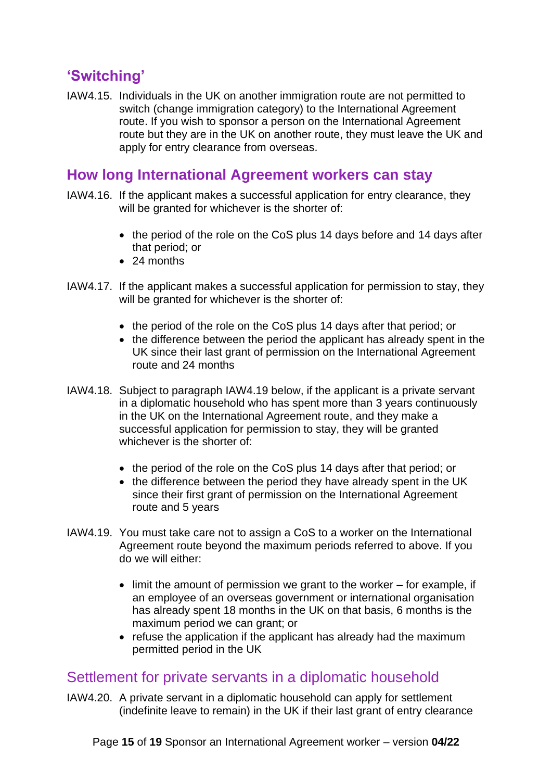### <span id="page-14-0"></span>**'Switching'**

IAW4.15. Individuals in the UK on another immigration route are not permitted to switch (change immigration category) to the International Agreement route. If you wish to sponsor a person on the International Agreement route but they are in the UK on another route, they must leave the UK and apply for entry clearance from overseas.

#### <span id="page-14-1"></span>**How long International Agreement workers can stay**

- IAW4.16. If the applicant makes a successful application for entry clearance, they will be granted for whichever is the shorter of:
	- the period of the role on the CoS plus 14 days before and 14 days after that period; or
	- 24 months
- IAW4.17. If the applicant makes a successful application for permission to stay, they will be granted for whichever is the shorter of:
	- the period of the role on the CoS plus 14 days after that period; or
	- the difference between the period the applicant has already spent in the UK since their last grant of permission on the International Agreement route and 24 months
- IAW4.18. Subject to paragraph IAW4.19 below, if the applicant is a private servant in a diplomatic household who has spent more than 3 years continuously in the UK on the International Agreement route, and they make a successful application for permission to stay, they will be granted whichever is the shorter of:
	- the period of the role on the CoS plus 14 days after that period; or
	- the difference between the period they have already spent in the UK since their first grant of permission on the International Agreement route and 5 years
- IAW4.19. You must take care not to assign a CoS to a worker on the International Agreement route beyond the maximum periods referred to above. If you do we will either:
	- limit the amount of permission we grant to the worker for example, if an employee of an overseas government or international organisation has already spent 18 months in the UK on that basis, 6 months is the maximum period we can grant; or
	- refuse the application if the applicant has already had the maximum permitted period in the UK

#### <span id="page-14-2"></span>Settlement for private servants in a diplomatic household

IAW4.20. A private servant in a diplomatic household can apply for settlement (indefinite leave to remain) in the UK if their last grant of entry clearance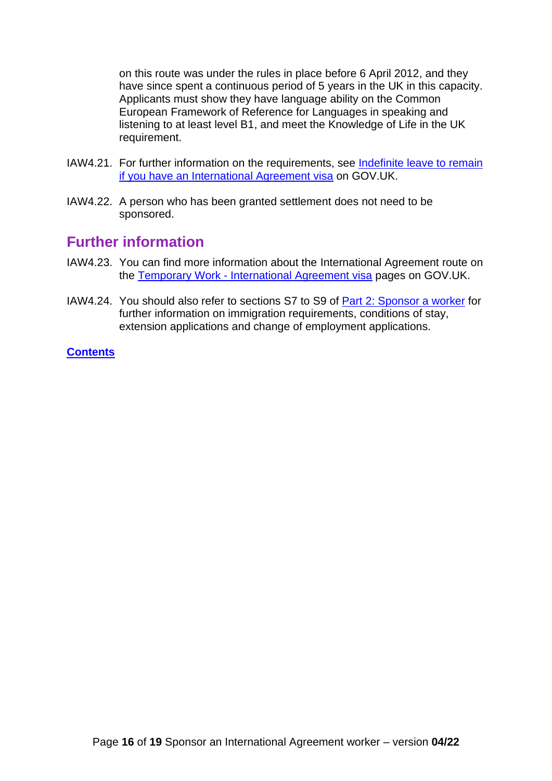on this route was under the rules in place before 6 April 2012, and they have since spent a continuous period of 5 years in the UK in this capacity. Applicants must show they have language ability on the Common European Framework of Reference for Languages in speaking and listening to at least level B1, and meet the Knowledge of Life in the UK requirement.

- IAW4.21. For further information on the requirements, see [Indefinite leave to remain](https://www.gov.uk/guidance/indefinite-leave-to-remain-if-you-have-a-tier-5-international-agreement-visa)  [if you have an International Agreement visa](https://www.gov.uk/guidance/indefinite-leave-to-remain-if-you-have-a-tier-5-international-agreement-visa) on GOV.UK.
- IAW4.22. A person who has been granted settlement does not need to be sponsored.

#### <span id="page-15-0"></span>**Further information**

- IAW4.23. You can find more information about the International Agreement route on the Temporary Work - [International Agreement visa](https://www.gov.uk/international-agreement-worker-visa) pages on GOV.UK.
- IAW4.24. You should also refer to sections S7 to S9 of [Part 2: Sponsor a worker](https://www.gov.uk/government/publications/workers-and-temporary-workers-guidance-for-sponsors-part-2-sponsor-a-worker) for further information on immigration requirements, conditions of stay, extension applications and change of employment applications.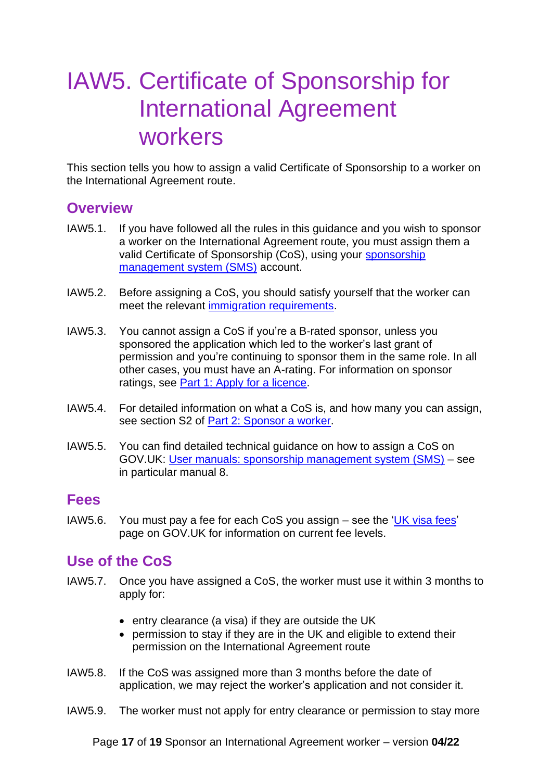## <span id="page-16-4"></span><span id="page-16-0"></span>IAW5. Certificate of Sponsorship for International Agreement workers

This section tells you how to assign a valid Certificate of Sponsorship to a worker on the International Agreement route.

#### <span id="page-16-1"></span>**Overview**

- IAW5.1. If you have followed all the rules in this guidance and you wish to sponsor a worker on the International Agreement route, you must assign them a valid Certificate of Sponsorship (CoS), using your [sponsorship](https://www.gov.uk/sponsor-management-system)  [management system \(SMS\)](https://www.gov.uk/sponsor-management-system) account.
- IAW5.2. Before assigning a CoS, you should satisfy yourself that the worker can meet the relevant [immigration requirements.](#page-12-3)
- IAW5.3. You cannot assign a CoS if you're a B-rated sponsor, unless you sponsored the application which led to the worker's last grant of permission and you're continuing to sponsor them in the same role. In all other cases, you must have an A-rating. For information on sponsor ratings, see [Part 1: Apply for a licence.](https://www.gov.uk/government/publications/workers-and-temporary-workers-guidance-for-sponsors-part-1-apply-for-a-licence)
- IAW5.4. For detailed information on what a CoS is, and how many you can assign, see section S2 of [Part 2: Sponsor a worker.](https://www.gov.uk/government/publications/workers-and-temporary-workers-guidance-for-sponsors-part-2-sponsor-a-worker)
- IAW5.5. You can find detailed technical guidance on how to assign a CoS on GOV.UK: [User manuals: sponsorship management system \(SMS\)](https://www.gov.uk/government/collections/sponsorship-information-for-employers-and-educators#user-manuals:-sponsorship-management-system-(sms)) – see in particular manual 8.

#### <span id="page-16-2"></span>**Fees**

IAW5.6. You must pay a fee for each CoS you assign – see the ['UK visa fees'](https://www.gov.uk/government/publications/visa-regulations-revised-table) page on GOV.UK for information on current fee levels.

### <span id="page-16-3"></span>**Use of the CoS**

- IAW5.7. Once you have assigned a CoS, the worker must use it within 3 months to apply for:
	- entry clearance (a visa) if they are outside the UK
	- permission to stay if they are in the UK and eligible to extend their permission on the International Agreement route
- IAW5.8. If the CoS was assigned more than 3 months before the date of application, we may reject the worker's application and not consider it.
- IAW5.9. The worker must not apply for entry clearance or permission to stay more

Page **17** of **19** Sponsor an International Agreement worker – version **04/22**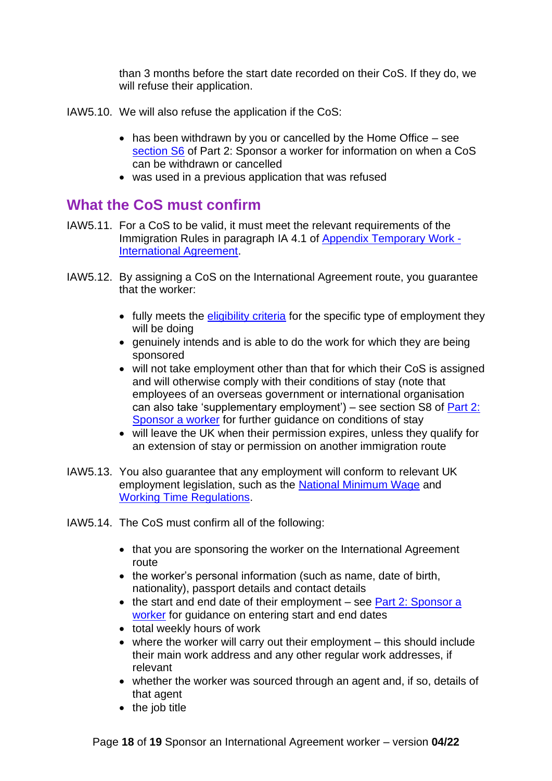than 3 months before the start date recorded on their CoS. If they do, we will refuse their application.

- IAW5.10. We will also refuse the application if the CoS:
	- has been withdrawn by you or cancelled by the Home Office see [section S6](https://www.gov.uk/government/publications/workers-and-temporary-workers-guidance-for-sponsors-part-2-sponsor-a-worker/workers-and-temporary-workers-guidance-for-sponsors-part-2-sponsor-a-worker-general-information-accessible-version#Cancelling-or-withdrawing-a-CoS) of Part 2: Sponsor a worker for information on when a CoS can be withdrawn or cancelled
	- was used in a previous application that was refused

### <span id="page-17-0"></span>**What the CoS must confirm**

- IAW5.11. For a CoS to be valid, it must meet the relevant requirements of the Immigration Rules in paragraph IA 4.1 of [Appendix Temporary Work -](https://www.gov.uk/guidance/immigration-rules/immigration-rules-appendix-t5-temporary-worker-international-agreement-worker) [International Agreement.](https://www.gov.uk/guidance/immigration-rules/immigration-rules-appendix-t5-temporary-worker-international-agreement-worker)
- IAW5.12. By assigning a CoS on the International Agreement route, you guarantee that the worker:
	- fully meets the [eligibility criteria](#page-10-0) for the specific type of employment they will be doing
	- genuinely intends and is able to do the work for which they are being sponsored
	- will not take employment other than that for which their CoS is assigned and will otherwise comply with their conditions of stay (note that employees of an overseas government or international organisation can also take 'supplementary employment') – see section S8 of  $Part 2$ : [Sponsor a worker](https://www.gov.uk/government/publications/workers-and-temporary-workers-guidance-for-sponsors-part-2-sponsor-a-worker) for further guidance on conditions of stay
	- will leave the UK when their permission expires, unless they qualify for an extension of stay or permission on another immigration route
- IAW5.13. You also guarantee that any employment will conform to relevant UK employment legislation, such as the [National Minimum Wage](https://www.gov.uk/national-minimum-wage) and [Working](https://ec.europa.eu/social/main.jsp?catId=706&langId=en&intPageId=205) Time Regulations.
- IAW5.14. The CoS must confirm all of the following:
	- that you are sponsoring the worker on the International Agreement route
	- the worker's personal information (such as name, date of birth, nationality), passport details and contact details
	- the start and end date of their employment see Part 2: Sponsor a [worker](https://www.gov.uk/government/publications/workers-and-temporary-workers-guidance-for-sponsors-part-2-sponsor-a-worker/workers-and-temporary-workers-guidance-for-sponsors-part-2-sponsor-a-worker-general-information-accessible-version#start) for guidance on entering start and end dates
	- total weekly hours of work
	- where the worker will carry out their employment this should include their main work address and any other regular work addresses, if relevant
	- whether the worker was sourced through an agent and, if so, details of that agent
	- the job title